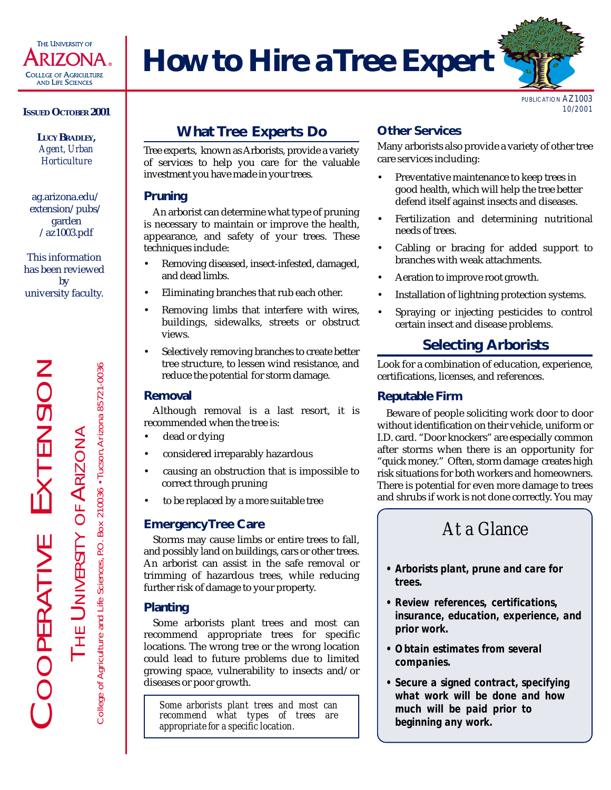

# **How to Hire a Tree Expert**



PUBLICATION AZ1003 10/2001

#### **ISSUED OCTOBER 2001**

**LUCY BRADLEY,** *Agent, Urban Horticulture*

ag.arizona.edu/ extension/pubs/ garden /az1003.pdf

This information has been reviewed by university faculty.

EXTENSION COOPERATIVE EXTENSION JOOPERATIVE T<sub>HE</sub>

# OF ARIZONA THE UNIVERSITY OF ARIZONA JNIVERSITY

College of Agriculture and Life Sciences, P.O. Box 210036 . Tucson, Arizona 85721-0036 College of Agriculture and Life Sciences, P.O. Box 210036 • Tucson, Arizona 85721-0036

# **What Tree Experts Do**

Tree experts, known as Arborists, provide a variety of services to help you care for the valuable investment you have made in your trees.

#### **Pruning**

An arborist can determine what type of pruning is necessary to maintain or improve the health, appearance, and safety of your trees. These techniques include:

- Removing diseased, insect-infested, damaged, and dead limbs.
- Eliminating branches that rub each other.
- Removing limbs that interfere with wires, buildings, sidewalks, streets or obstruct views.
- Selectively removing branches to create better tree structure, to lessen wind resistance, and reduce the potential for storm damage.

#### **Removal**

Although removal is a last resort, it is recommended when the tree is:

- dead or dying
- considered irreparably hazardous
- causing an obstruction that is impossible to correct through pruning
- to be replaced by a more suitable tree

# **Emergency Tree Care**

Storms may cause limbs or entire trees to fall, and possibly land on buildings, cars or other trees. An arborist can assist in the safe removal or trimming of hazardous trees, while reducing further risk of damage to your property.

# **Planting**

Some arborists plant trees and most can recommend appropriate trees for specific locations. The wrong tree or the wrong location could lead to future problems due to limited growing space, vulnerability to insects and/or diseases or poor growth.

*Some arborists plant trees and most can recommend what types of trees are appropriate for a specific location.*

# **Other Services**

Many arborists also provide a variety of other tree care services including:

- Preventative maintenance to keep trees in good health, which will help the tree better defend itself against insects and diseases.
- Fertilization and determining nutritional needs of trees.
- Cabling or bracing for added support to branches with weak attachments.
- Aeration to improve root growth.
- Installation of lightning protection systems.
- Spraying or injecting pesticides to control certain insect and disease problems.

# **Selecting Arborists**

Look for a combination of education, experience, certifications, licenses, and references.

#### **Reputable Firm**

Beware of people soliciting work door to door without identification on their vehicle, uniform or I.D. card. "Door knockers" are especially common after storms when there is an opportunity for "quick money." Often, storm damage creates high risk situations for both workers and homeowners. There is potential for even more damage to trees and shrubs if work is not done correctly. You may

# *At a Glance*

- *Arborists plant, prune and care for trees.*
- *Review references, certifications, insurance, education, experience, and prior work.*
- *Obtain estimates from several companies.*
- *Secure a signed contract, specifying what work will be done and how much will be paid prior to beginning any work.*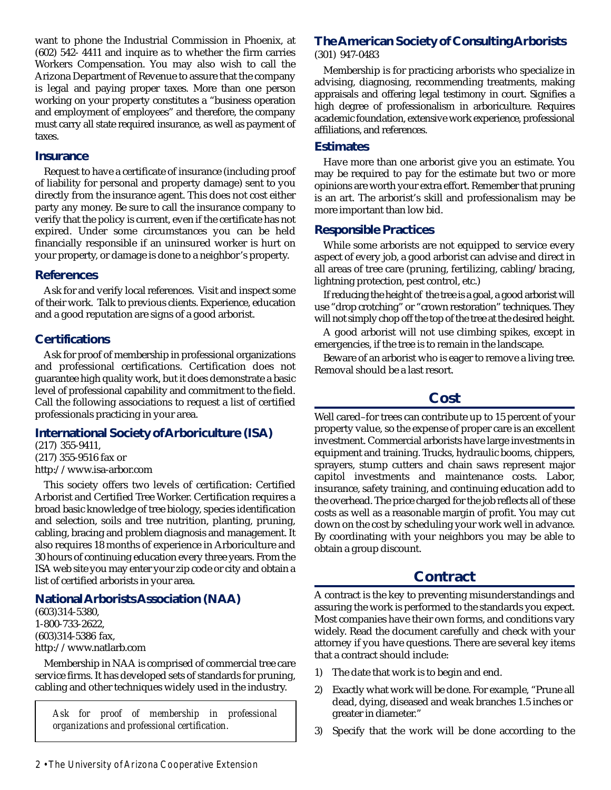want to phone the Industrial Commission in Phoenix, at (602) 542- 4411 and inquire as to whether the firm carries Workers Compensation. You may also wish to call the Arizona Department of Revenue to assure that the company is legal and paying proper taxes. More than one person working on your property constitutes a "business operation and employment of employees" and therefore, the company must carry all state required insurance, as well as payment of taxes.

#### **Insurance**

Request to have a certificate of insurance (including proof of liability for personal and property damage) sent to you directly from the insurance agent. This does not cost either party any money. Be sure to call the insurance company to verify that the policy is current, even if the certificate has not expired. Under some circumstances you can be held financially responsible if an uninsured worker is hurt on your property, or damage is done to a neighbor's property.

#### **References**

Ask for and verify local references. Visit and inspect some of their work. Talk to previous clients. Experience, education and a good reputation are signs of a good arborist.

#### **Certifications**

Ask for proof of membership in professional organizations and professional certifications. Certification does not guarantee high quality work, but it does demonstrate a basic level of professional capability and commitment to the field. Call the following associations to request a list of certified professionals practicing in your area.

#### **International Society of Arboriculture (ISA)**

(217) 355-9411, (217) 355-9516 fax or http://www.isa-arbor.com

This society offers two levels of certification: Certified Arborist and Certified Tree Worker. Certification requires a broad basic knowledge of tree biology, species identification and selection, soils and tree nutrition, planting, pruning, cabling, bracing and problem diagnosis and management. It also requires 18 months of experience in Arboriculture and 30 hours of continuing education every three years. From the ISA web site you may enter your zip code or city and obtain a list of certified arborists in your area.

#### **National Arborists Association (NAA)**

(603)314-5380, 1-800-733-2622, (603)314-5386 fax, http://www.natlarb.com

Membership in NAA is comprised of commercial tree care service firms. It has developed sets of standards for pruning, cabling and other techniques widely used in the industry.

*Ask for proof of membership in professional organizations and professional certification.*

#### **The American Society of Consulting Arborists** (301) 947-0483

Membership is for practicing arborists who specialize in advising, diagnosing, recommending treatments, making appraisals and offering legal testimony in court. Signifies a high degree of professionalism in arboriculture. Requires academic foundation, extensive work experience, professional affiliations, and references.

#### **Estimates**

Have more than one arborist give you an estimate. You may be required to pay for the estimate but two or more opinions are worth your extra effort. Remember that pruning is an art. The arborist's skill and professionalism may be more important than low bid.

#### **Responsible Practices**

While some arborists are not equipped to service every aspect of every job, a good arborist can advise and direct in all areas of tree care (pruning, fertilizing, cabling/bracing, lightning protection, pest control, etc.)

If reducing the height of the tree is a goal, a good arborist will use "drop crotching" or "crown restoration" techniques. They will not simply chop off the top of the tree at the desired height.

A good arborist will not use climbing spikes, except in emergencies, if the tree is to remain in the landscape.

Beware of an arborist who is eager to remove a living tree. Removal should be a last resort.

#### **Cost**

Well cared–for trees can contribute up to 15 percent of your property value, so the expense of proper care is an excellent investment. Commercial arborists have large investments in equipment and training. Trucks, hydraulic booms, chippers, sprayers, stump cutters and chain saws represent major capitol investments and maintenance costs. Labor, insurance, safety training, and continuing education add to the overhead. The price charged for the job reflects all of these costs as well as a reasonable margin of profit. You may cut down on the cost by scheduling your work well in advance. By coordinating with your neighbors you may be able to obtain a group discount.

# **Contract**

A contract is the key to preventing misunderstandings and assuring the work is performed to the standards you expect. Most companies have their own forms, and conditions vary widely. Read the document carefully and check with your attorney if you have questions. There are several key items that a contract should include:

- 1) The date that work is to begin and end.
- 2) Exactly what work will be done. For example, "Prune all dead, dying, diseased and weak branches 1.5 inches or greater in diameter."
- 3) Specify that the work will be done according to the